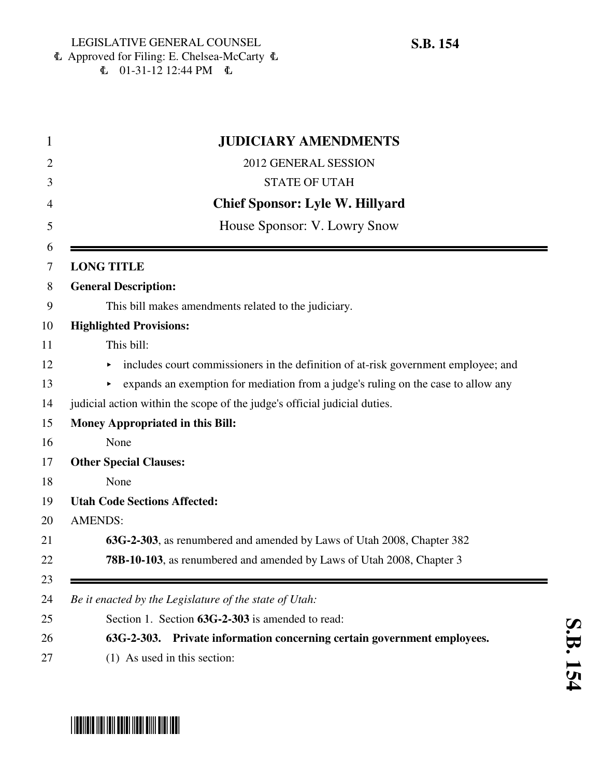6 Approved for Filing: E. Chelsea-McCarty 6  $\mathbf{C}$  01-31-12 12:44 PM  $\mathbf{C}$ 

| $\mathbf{1}$ | <b>JUDICIARY AMENDMENTS</b>                                                              |
|--------------|------------------------------------------------------------------------------------------|
| 2            | 2012 GENERAL SESSION                                                                     |
| 3            | <b>STATE OF UTAH</b>                                                                     |
| 4            | <b>Chief Sponsor: Lyle W. Hillyard</b>                                                   |
| 5            | House Sponsor: V. Lowry Snow                                                             |
| 6<br>7       | <b>LONG TITLE</b>                                                                        |
| 8            | <b>General Description:</b>                                                              |
| 9            | This bill makes amendments related to the judiciary.                                     |
| 10           | <b>Highlighted Provisions:</b>                                                           |
| 11           | This bill:                                                                               |
| 12           | includes court commissioners in the definition of at-risk government employee; and<br>Þ. |
| 13           | expands an exemption for mediation from a judge's ruling on the case to allow any        |
| 14           | judicial action within the scope of the judge's official judicial duties.                |
| 15           | <b>Money Appropriated in this Bill:</b>                                                  |
| 16           | None                                                                                     |
| 17           | <b>Other Special Clauses:</b>                                                            |
| 18           | None                                                                                     |
| 19           | <b>Utah Code Sections Affected:</b>                                                      |
| 20           | <b>AMENDS:</b>                                                                           |
| 21           | 63G-2-303, as renumbered and amended by Laws of Utah 2008, Chapter 382                   |
| 22           | 78B-10-103, as renumbered and amended by Laws of Utah 2008, Chapter 3                    |
| 23           |                                                                                          |
| 24           | Be it enacted by the Legislature of the state of Utah:                                   |
| 25           | Section 1. Section 63G-2-303 is amended to read:                                         |
| 26           | 63G-2-303. Private information concerning certain government employees.                  |
| 27           | (1) As used in this section:                                                             |

# \* SB011511 1151 1511 15151 15161 15161 15161 15161 15161 15161 1517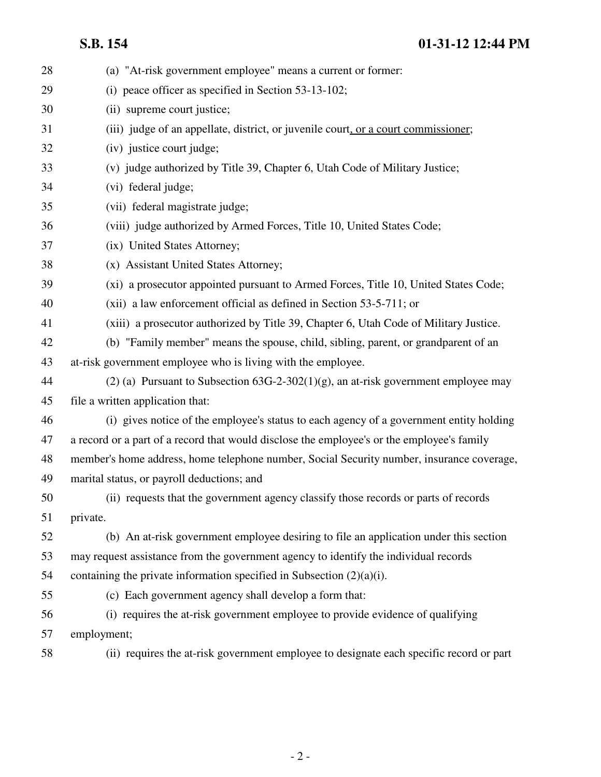**S.B. 154 01-31-12 12:44 PM**

| 28 | (a) "At-risk government employee" means a current or former:                               |
|----|--------------------------------------------------------------------------------------------|
| 29 | (i) peace officer as specified in Section 53-13-102;                                       |
| 30 | (ii) supreme court justice;                                                                |
| 31 | (iii) judge of an appellate, district, or juvenile court, or a court commissioner;         |
| 32 | (iv) justice court judge;                                                                  |
| 33 | (v) judge authorized by Title 39, Chapter 6, Utah Code of Military Justice;                |
| 34 | (vi) federal judge;                                                                        |
| 35 | (vii) federal magistrate judge;                                                            |
| 36 | (viii) judge authorized by Armed Forces, Title 10, United States Code;                     |
| 37 | (ix) United States Attorney;                                                               |
| 38 | (x) Assistant United States Attorney;                                                      |
| 39 | (xi) a prosecutor appointed pursuant to Armed Forces, Title 10, United States Code;        |
| 40 | (xii) a law enforcement official as defined in Section 53-5-711; or                        |
| 41 | (xiii) a prosecutor authorized by Title 39, Chapter 6, Utah Code of Military Justice.      |
| 42 | (b) "Family member" means the spouse, child, sibling, parent, or grandparent of an         |
| 43 | at-risk government employee who is living with the employee.                               |
| 44 | (2) (a) Pursuant to Subsection $63G-2-302(1)(g)$ , an at-risk government employee may      |
| 45 | file a written application that:                                                           |
| 46 | (i) gives notice of the employee's status to each agency of a government entity holding    |
| 47 | a record or a part of a record that would disclose the employee's or the employee's family |
| 48 | member's home address, home telephone number, Social Security number, insurance coverage,  |
| 49 | marital status, or payroll deductions; and                                                 |
| 50 | (ii) requests that the government agency classify those records or parts of records        |
| 51 | private.                                                                                   |
| 52 | (b) An at-risk government employee desiring to file an application under this section      |
| 53 | may request assistance from the government agency to identify the individual records       |
| 54 | containing the private information specified in Subsection $(2)(a)(i)$ .                   |
| 55 | (c) Each government agency shall develop a form that:                                      |
| 56 | (i) requires the at-risk government employee to provide evidence of qualifying             |
| 57 | employment;                                                                                |
| 58 | (ii) requires the at-risk government employee to designate each specific record or part    |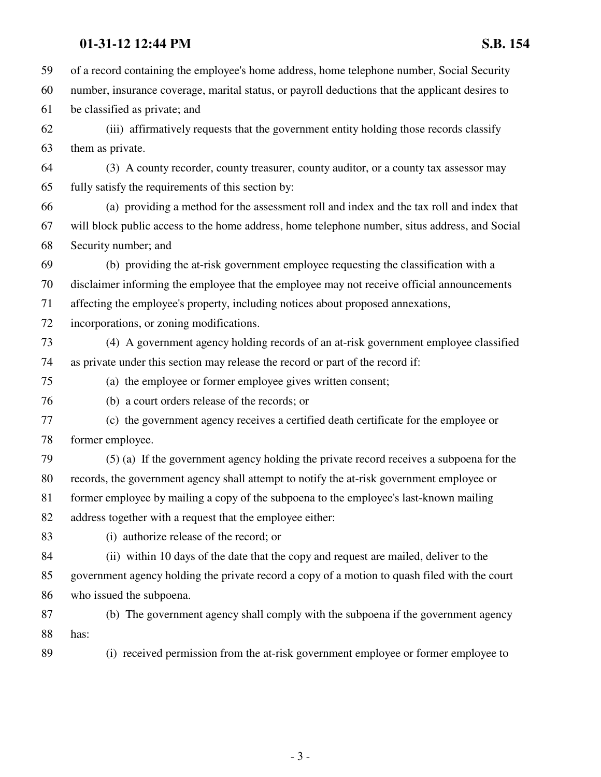### **01-31-12 12:44 PM S.B. 154**

59 of a record containing the employee's home address, home telephone number, Social Security 60 number, insurance coverage, marital status, or payroll deductions that the applicant desires to 61 be classified as private; and 62 (iii) affirmatively requests that the government entity holding those records classify 63 them as private. 64 (3) A county recorder, county treasurer, county auditor, or a county tax assessor may 65 fully satisfy the requirements of this section by: 66 (a) providing a method for the assessment roll and index and the tax roll and index that 67 will block public access to the home address, home telephone number, situs address, and Social 68 Security number; and 69 (b) providing the at-risk government employee requesting the classification with a 70 disclaimer informing the employee that the employee may not receive official announcements 71 affecting the employee's property, including notices about proposed annexations, 72 incorporations, or zoning modifications. 73 (4) A government agency holding records of an at-risk government employee classified 74 as private under this section may release the record or part of the record if: 75 (a) the employee or former employee gives written consent; 76 (b) a court orders release of the records; or 77 (c) the government agency receives a certified death certificate for the employee or 78 former employee. 79 (5) (a) If the government agency holding the private record receives a subpoena for the 80 records, the government agency shall attempt to notify the at-risk government employee or 81 former employee by mailing a copy of the subpoena to the employee's last-known mailing 82 address together with a request that the employee either: 83 (i) authorize release of the record; or 84 (ii) within 10 days of the date that the copy and request are mailed, deliver to the 85 government agency holding the private record a copy of a motion to quash filed with the court 86 who issued the subpoena. 87 (b) The government agency shall comply with the subpoena if the government agency 88 has: 89 (i) received permission from the at-risk government employee or former employee to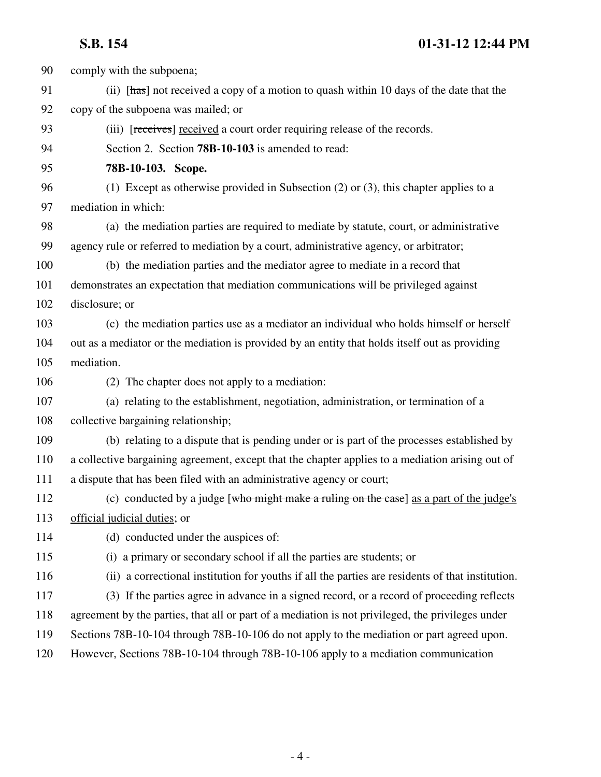## **S.B. 154 01-31-12 12:44 PM**

| 90  | comply with the subpoena;                                                                         |
|-----|---------------------------------------------------------------------------------------------------|
| 91  | (ii) [has] not received a copy of a motion to quash within 10 days of the date that the           |
| 92  | copy of the subpoena was mailed; or                                                               |
| 93  | (iii) [receives] received a court order requiring release of the records.                         |
| 94  | Section 2. Section 78B-10-103 is amended to read:                                                 |
| 95  | 78B-10-103. Scope.                                                                                |
| 96  | (1) Except as otherwise provided in Subsection $(2)$ or $(3)$ , this chapter applies to a         |
| 97  | mediation in which:                                                                               |
| 98  | (a) the mediation parties are required to mediate by statute, court, or administrative            |
| 99  | agency rule or referred to mediation by a court, administrative agency, or arbitrator;            |
| 100 | (b) the mediation parties and the mediator agree to mediate in a record that                      |
| 101 | demonstrates an expectation that mediation communications will be privileged against              |
| 102 | disclosure; or                                                                                    |
| 103 | (c) the mediation parties use as a mediator an individual who holds himself or herself            |
| 104 | out as a mediator or the mediation is provided by an entity that holds itself out as providing    |
| 105 | mediation.                                                                                        |
| 106 | (2) The chapter does not apply to a mediation:                                                    |
| 107 | (a) relating to the establishment, negotiation, administration, or termination of a               |
| 108 | collective bargaining relationship;                                                               |
| 109 | (b) relating to a dispute that is pending under or is part of the processes established by        |
| 110 | a collective bargaining agreement, except that the chapter applies to a mediation arising out of  |
| 111 | a dispute that has been filed with an administrative agency or court;                             |
| 112 | (c) conducted by a judge [who might make a ruling on the case] as a part of the judge's           |
| 113 | official judicial duties; or                                                                      |
| 114 | (d) conducted under the auspices of:                                                              |
| 115 | (i) a primary or secondary school if all the parties are students; or                             |
| 116 | (ii) a correctional institution for youths if all the parties are residents of that institution.  |
| 117 | (3) If the parties agree in advance in a signed record, or a record of proceeding reflects        |
| 118 | agreement by the parties, that all or part of a mediation is not privileged, the privileges under |
| 119 | Sections 78B-10-104 through 78B-10-106 do not apply to the mediation or part agreed upon.         |
| 120 | However, Sections 78B-10-104 through 78B-10-106 apply to a mediation communication                |